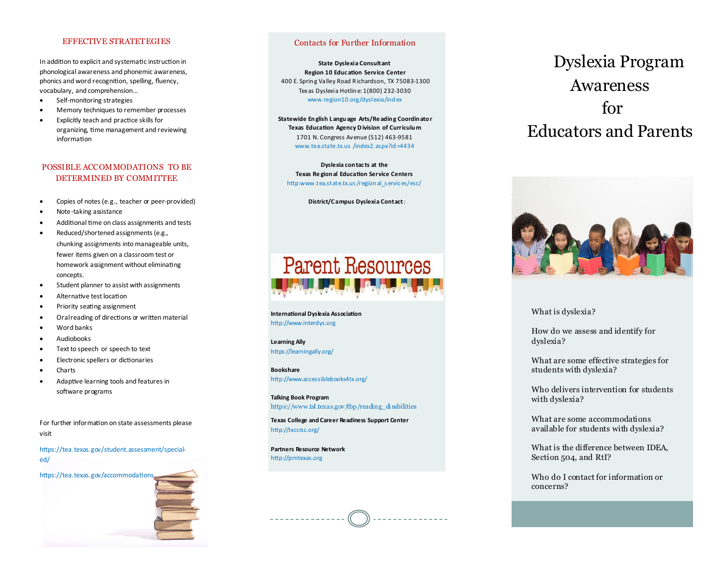## EFFECTIVE STRATETEGIES

In addition to explicit and systematic instruction in phonological awareness and phonemic awareness, phonics and word recognition, spelling, fluency, vocabulary, and comprehension…

- Self-monitoring strategies
- Memory techniques to remember processes
- Explicitly teach and practice skills for organizing, time management and reviewing information

# POSSIBLE ACCOMMODATIONS TO BE DETERMINED BY COMMITTEE

- Copies of notes (e.g., teacher or peer-provided)
- Note-taking assistance
- Additional time on class assignments and tests
- Reduced/shortened assignments (e.g., chunking assignments into manageable units, fewer items given on a classroom test or homework assignment without eliminating concepts.
- Student planner to assist with assignments
- Alternative test location
- Priority seating assignment
- Oral reading of directions or written material
- Word banks
- Audiobooks
- Text to speech or speech to text
- Electronic spellers or dictionaries
- **Charts**
- Adaptive learning tools and features in software programs

For further information on state assessments please visit

https://tea.texas.gov/student.assessment/specialed/



# Contacts for Further Information

**State Dyslexia Consultant Region 10 Educ ation Service Center** 400 E. Sprin g Valley Road R ichardson, TX 75083-1300 Tex as Dyslexia Hotlin e: 1(800) 232-3030 www.region10.org/dyslexia/ind ex

**Statewide En glish L angu age Arts/Re adin g Coordin ato r Texas Education Agency D ivision of Curriculu m**  1701 N. Congress Avenue (512) 463-9581 www.tea.state.tx.us /index2.aspx?id =4434

**Dyslexia con tac ts at the Texas Re gion al Education Service Centers**  http:www.tea.state.tx.us/region al\_s ervices/esc/

#### **District/C ampus Dyslexia Contact**:



**International Dyslexia Association**  http://www.interdys.org

**Learning Ally**  https://learningally.org/

**Bookshare**  http://www.accessiblebooks4tx.org/

**Talking Book Program** https://www.tsl.texas.gov/tbp/reading\_di sabilities

**Texas College and Career Readiness Support Center**  http://txccrsc.org/

**Partners Resource Network** http://prntexas.org

# Dyslexia Program Awareness for Educators and Parents



## What is dyslexia?

How do we assess and identify for dyslexia?

What are some effective strategies for students with dyslexia?

Who delivers intervention for students with dyslexia?

What are some accommodations available for students with dyslexia?

What is the difference between IDEA, Section 504, and RtI?

Who do I contact for information or concerns?